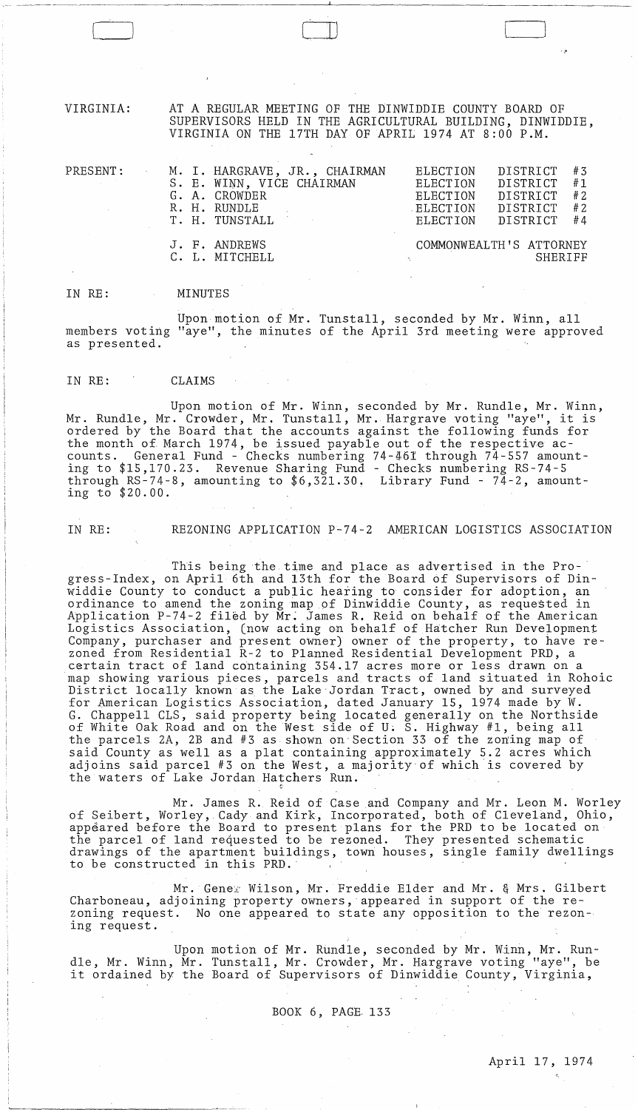VIRGINIA: AT A REGULAR MEETING OF THE DINWIDDIE COUNTY BOARD OF SUPERVISORS HELD IN THE AGRICULTURAL BUILDING, DINWIDDIE, VIRGINIA ON THE 17TH DAY OF APRIL 1974 AT 8:00 P.M.

 $\Box$ 

| PRESENT: | M. I. HARGRAVE, JR., CHAIRMAN<br>S. E. WINN, VICE CHAIRMAN<br>G. A. CROWDER<br>R. H. RUNDLE<br>T. H. TUNSTALL | #3<br>DISTRICT<br>ELECTION<br>#1<br>DISTRICT<br>ELECTION<br>DISTRICT<br># 2<br>ELECTION<br>#2<br>DISTRICT<br>ELECTION<br>#4<br>DISTRICT<br>ELECTION |
|----------|---------------------------------------------------------------------------------------------------------------|-----------------------------------------------------------------------------------------------------------------------------------------------------|
|          | J. F. ANDREWS<br>C. L. MITCHELL                                                                               | COMMONWEALTH'S ATTORNEY<br>SHERIFF                                                                                                                  |

,\_' ~,~\_, \_\_\_ ,~ \_\_\_ .~ \_\_\_\_ ~ \_\_\_\_\_\_\_\_\_\_ .lL-\_\_ ~\_~ \_\_\_ ~\_~~ \_\_\_\_\_\_\_\_ \_

IN RE: MINUTES

 $\begin{pmatrix} 1 & 1 \\ 1 & 1 \end{pmatrix}$ 

Upon motion of Mr. Tunstall, seconded by Mr. Winn, all members voting "aye", the minutes of the April 3rd meeting were approved as presented.

IN RE: CLAIMS

Upon motion of Mr. Winn, seconded by Mr. Rundle, Mr. Winn, Mr. Rundle, Mr. Crowder, Mr. Tunstall, Mr. Hargrave voting "aye", it is ordered by the Board that the accounts against the following funds for the month of. March 1974, be issued payable out of the respective accounts. General Fund - Checks numbering 74-46I through 74-557 amounting to \$15,170.23. Revenue Sharing Fund - Checks numbering RS-74-5 through RS-74-8, amounting to  $$6,321.30$ . Library Fund - 74-2, amounting to \$20.00.

IN RE: REZONING APPLICATION P-74-2 AMERICAN LOGISTICS ASSOCIATION

This being the time and place as advertised in the Pro- ' gress-Index, on April 6th and 13th for the Board of Supervisors of Dinwiddie County to conduct a public hearing to consider for adoption, an ordinance to amend the zoning map of Dinwiddie County, as requested in Application P-74-2 filed by Mr. James R. Reid on behalf of the American Logistics Association, (now acting on behalf of Hatcher Run Development Company, purchaser and present owner) owner of the property, to have rezoned from Residential R-2 to Planned Residential Development PRD, a certain tract of land containing 354.17 acres more or less drawn on a map showing various pieces, parcels and tracts of land situated in Rohoic District locally known as the Lake Jordan Tract, owned by and surveyed for American Logistics Association, dated January 15, 1974 made by W. G. Chappell CLS, said property being located generally on the Northside of White Oak Road and on the West side of U. S. Highway #1, being all the parcels 2A, 2B and #3 as shown on'Section 33 of the zoning map of said County as well as a plat containing approximately 5.2 acres which adjoins said parcel #3 on the West, a majority'of which is covered by the waters of Lake Jordan Hatchers Run.

Mr. James R. Reid of Case and Company and Mr. Leon M. Worley of Seibert, Worley, Cady and Kirk, Incorporated, both of Cleveland, Ohio, appeared before the Board to present plans for the PRD to be located on the parcel of land requested to be rezoned. They presented schematic drawings of the apartment buildings, town houses, single family dwellings to be constructed in this PRD.'

Mr. Genex Wilson, Mr. Freddie Elder and Mr. & Mrs. Gilbert Charboneau, adjoining property owners, appeared in support of the rezoning request. No one appeared to state any opposition to the rezoning request.

Upon motion of Mr. Rundle, seconded by Mr. Winn, Mr. Rundle, Mr. Winn, Mr. Tunstall, Mr. Crowder, Mr. Hargrave voting "aye", be ale, Mr. winn, Mr. Tunstall, Mr. Crowder, Mr. Hargrave vocing "aye", De<br>it ordained by the Board of Supervisors of Dinwiddie County, Virginia,

BOOK 6, PAGE. 133

 $\mathcal{L}_{\text{max}} = \mathcal{L}_{\text{max}}$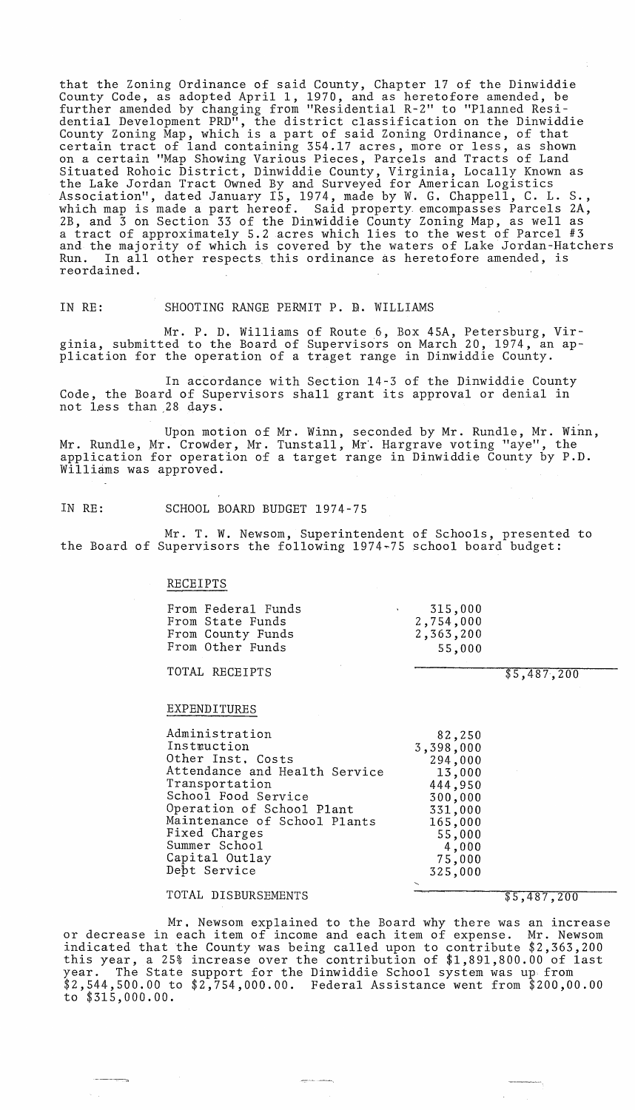that the Zoning Ordinance of said County, Chapter 17 of the Dinwiddie County Code, as adopted April 1, 1970, and as heretofore amended, be further amended by changing from "Residential R-2" to "Planned Residential Development PRD", the district classification on the Dinwiddie County Zoning Map, which is a part of said Zoning Ordinance, of that certain tract of land containing 354.17 acres, more or less, as shown on a certain "Map Showing Various Pieces, Parcels and Tracts of Land Situated Rohoic District, Dinwiddie County, Virginia, Locally Known as the Lake Jordan Tract Owned By and Surveyed for American Logistics Association", dated January 15, 1974, made by W. G. Chappell, C. L. S., which map is made a part hereof. Said property. emcompasses Parcels 2A, 2B, and 3 on Section 33 of the Dinwiddie County Zoning Map, as well as a tract of approximately 5.2 acres which lies to the west of Parcel #3 and the majority of which is covered by the waters of Lake Jordan-Hatchers In all other respects this ordinance as heretofore amended, is reordained.

IN RE: SHOOTING RANGE PERMIT P. B. WILLIAMS

Mr. P. D. Williams of Route 6, Box 45A, Petersburg, Virginia, submitted to the Board of Supervisors on March 20, 1974, an application for the operation of a traget range in Dinwiddie County.

In accordance with Section 14-3 of the Dinwiddie County Code, the Board of Supervisors shall grant its approval or denial in not less than 28 days.

Upon motion of Mr. Winn, seconded by Mr. Rundle, Mr. Winn, Mr. Rundle, Mr. Crowder, Mr. Tunstall, Mr. Hargrave voting "aye", the application for operation of a target range in Dinwiddie County by P.D. Williams was approved.

IN RE: SCHOOL BOARD BUDGET 1974-75

Mr. T. W. Newsom, Superintendent of Schools, presented to the Board of Supervisors the following 1974~75 school board budget:

#### RECEIPTS

From Federal Funds From State Funds From County Funds From Other Funds

TOTAL RECEIPTS

### EXPENDITURES

Administration Instruction Other Inst. Costs Attendance and Health Service Transportation School Food Service Operation of School Plant Maintenance of School Plants Fixed Charges Summer School Capital Outlay Dept Service

#### TOTAL DISBURSEMENTS

-~

## f5~48 *T;-2-00*

 $\sim$ 

Mr. Newsom explained to the Board why there was an increase or decrease in each item of income and each item of expense. Mr. Newsom indicated that the County was being called upon to contribute \$2,363,200 this year, a 25% increase over the contribution of \$1,891,800.00 of last year. The State support for the Dinwiddie School system was up from \$2,544,500.00 to \$2,754,000.00. Federal Assistance went from \$200,00.00 to \$315,000.00.

| 315,000   |
|-----------|
| 2,754,000 |
| 2,363,200 |
| 55,000    |

\$5,-487,200

82,250 3,398,000

> 294,000 13,000 444,950 300,000 331,000 165,000 55,000 4,000 75,000 325,000

يصطب للمحيين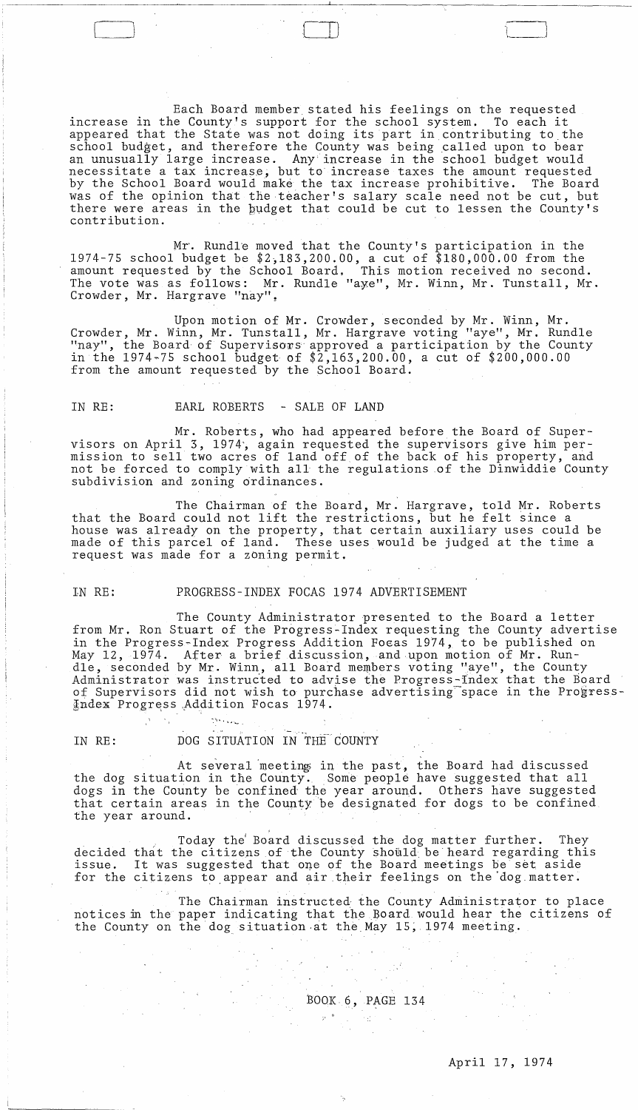Each Board member stated his feelings on the requested<br>e County's support for the school system. To each it increase in the County's support for the school system. appeared that the State was not doing its part in contributing to the school budget, and therefore the County was being called upon to bear an unusually large increase. Any'increase in the school budget would necessitate a tax increase, but to increase taxes the amount requested by the School Board would make the tax increase prohibitive. The Board was of the opinion that the teacher's salary scale need not be cut, but there were areas in the budget that could be cut to lessen the County's contribution.

Mr. Rundle moved that the County's participation in the 1974-75 school budget be \$2,183,200.00, a cut of \$180,000.00 from the amount requested by the School Board, This motion received no second. The vote was as follows: Mr. Rundle "aye", Mr. Winn, Mr. Tunstall, Mr. Crowder, Mr. Hargrave "nay".

Upon motion of Mr. Crowder, seconded by Mr. Winn, Mr. Crowder, Mr. Winn, Mr. Tunstall, Mr. Hargrave voting "aye", Mr. Rundle "nay", the Board of Supervisors approved a participation by the County in the 1974~75 school budget of \$2,163,200.00, a cut of \$200,000.00 from the amount requested by the School Board.

#### IN RE: EARL ROBERTS - SALE OF LAND

 $\Box$ 

Mr. Roberts, who had appeared before the Board of Supervisors on April 3, 1974', again requested the supervisors give him permission to sell two acres of land off of the back of his property, and not be forced to comply with all the regulations .of the Dinwiddie County subdivision and zoning ordinances.

The Chairman of the Board, Mr. Hargrave, told Mr. Roberts that the Board could not lift the restrictions, but he felt since a house was already on the property, that certain auxiliary uses could be made of this parcel of land. These uses would be judged at the time a request was made for a zoning permit.

#### IN RE: PROGRESS-INDEX FOCAS 1974 ADVERTISEMENT

The County Administrator presented to the Board a letter from Mr. Ron Stuart of the Progress-Index requesting the County advertise in the Progress-Index Progress Addition Foeas 1974, to be published on May 12, 1974. After a brief discussion, and upon motion of Mr. Rundle, seconded by Mr. Winn, all Board members voting "aye", the County Administrator was instructed to advise the Progress-Index that the Board of Supervisors did not wish to purchase advertising space in the Progress- $\frac{1}{2}$ ndex Progress Addition Focas 1974.

IN RE: DOG SITUATION IN THE COUNTY

British,

At several meeting in the past, the Board had discussed the dog situation in the County. Some people have suggested that all dogs in the County be confined' the year around. Others have suggested that certain areas in the County be designated for dogs to be confined the year around.

decided that the citizens of the County should be heard regarding this decrited that the critizens of the County should be heard regarding this<br>issue. It was suggested that one of the Board meetings be set aside for the citizens to ,appear and air their feelings on the'dog,matter. . Today the' Board discussed the dog matter further. They

The Chairman instructed the County Administrator to place notices fu the paper indicating that the Board would hear the citizens of the County on the dog situation at the May 15, 1974 meeting.

# BOOK. 6, PAGE 134 Listen (d. 1911)<br>Decembrie: Carlos Carlos (d. 1915)<br>Decembrie: Carlos Carlos (d. 1915)

# April 17,1974